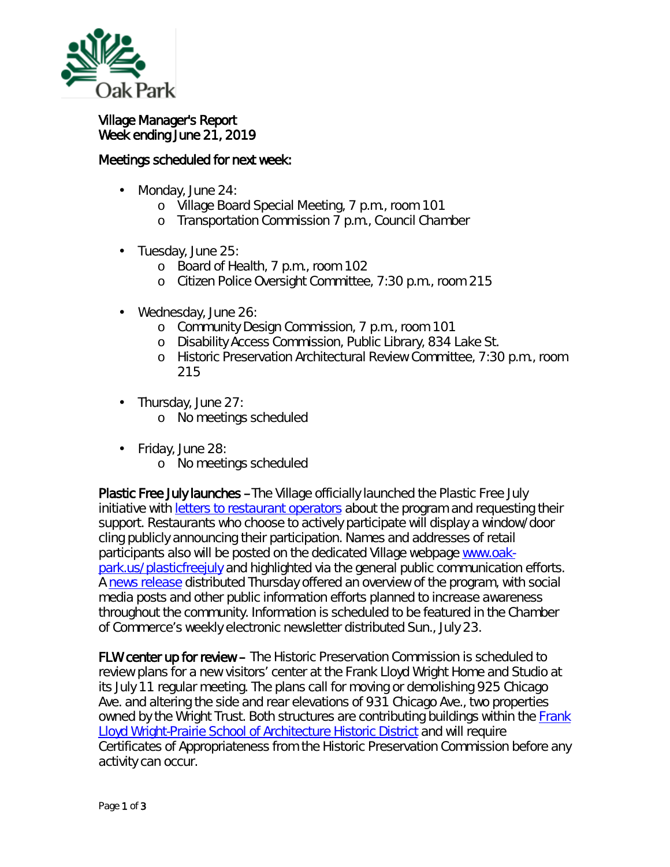

## Village Manager's Report Week ending June 21, 2019

## Meetings scheduled for next week:

- Monday, June 24: ä,
	- o Village Board Special Meeting, 7 p.m., room 101
	- o Transportation Commission 7 p.m., Council Chamber
- Tuesday, June 25: ä,
	- o Board of Health, 7 p.m., room 102
	- o Citizen Police Oversight Committee, 7:30 p.m., room 215
- Wednesday, June 26:
	- o Community Design Commission, 7 p.m., room 101
	- o Disability Access Commission, Public Library, 834 Lake St.
	- o Historic Preservation Architectural Review Committee, 7:30 p.m., room 215
- Thursday, June 27: t,
	- o No meetings scheduled
- Friday, June 28: ä,
	- o No meetings scheduled

Plastic Free July launches –The Village officially launched the *Plastic Free July* initiative with *letters to restaurant operators* about the program and requesting their support. Restaurants who choose to actively participate will display a window/door cling publicly announcing their participation. Names and addresses of retail participants also will be posted on the dedicated Village webpage [www.oak](http://www.oak-park.us/plasticfreejuly)[park.us/plasticfreejuly](http://www.oak-park.us/plasticfreejuly) and highlighted via the general public communication efforts. A [news release](https://www.oak-park.us/news/oak-parkers-challenged-give-single-use-plastics-july) distributed Thursday offered an overview of the program, with social media posts and other public information efforts planned to increase awareness throughout the community. Information is scheduled to be featured in the Chamber of Commerce's weekly electronic newsletter distributed Sun., July 23.

FLW center up for review – The Historic Preservation Commission is scheduled to review plans for a new visitors' center at the Frank Lloyd Wright Home and Studio at its July 11 regular meeting. The plans call for moving or demolishing 925 Chicago Ave. and altering the side and rear elevations of 931 Chicago Ave., two properties owned by the Wright Trust. Both structures are contributing buildings within the Frank **[Lloyd Wright-Prairie School of Architecture Historic District](https://www.oak-park.us/village-services/planning/historic-preservation/historic-district-boundaries) and will require** Certificates of Appropriateness from the Historic Preservation Commission before any activity can occur.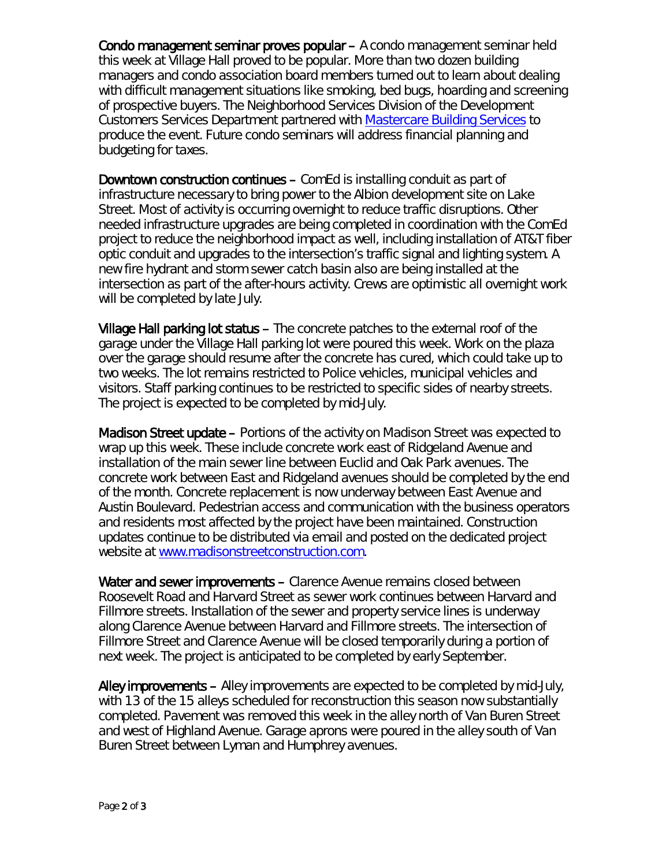Condo management seminar proves popular – A condo management seminar held this week at Village Hall proved to be popular. More than two dozen building managers and condo association board members turned out to learn about dealing with difficult management situations like smoking, bed bugs, hoarding and screening of prospective buyers. The Neighborhood Services Division of the Development Customers Services Department partnered with [Mastercare Building Services](http://mxrelay.oak-park.us:32224/?dmVyPTEuMDAxJiY3YTc5MTBiMDM5YjBjYTM4YT01QjI5MzA2Ql85MzA2MV8yNjQ5XzEmJjY3OTJiZTY1YTZhNWM1Nj0xMjMzJiZ1cmw9aHR0cCUzQSUyRiUyRnIyMCUyRXJzNiUyRW5ldCUyRnRuJTJFanNwJTNGdCUzRDc4ZDl4ZTZhYiUyRTAlMkUwJTJFcWRjbGxtbWFiJTJFMCUyNmlkJTNEcHJldmlldyUyNnIlM0QzJTI2cCUzRGh0dHAlMjUzQSUyNTJGJTI1MkZ3d3clMkVtY2FyZXNlcnZpY2VzJTJFY29tJTI1MkY=) to produce the event. Future condo seminars will address financial planning and budgeting for taxes.

Downtown construction continues – ComEd is installing conduit as part of infrastructure necessary to bring power to the Albion development site on Lake Street. Most of activity is occurring overnight to reduce traffic disruptions. Other needed infrastructure upgrades are being completed in coordination with the ComEd project to reduce the neighborhood impact as well, including installation of AT&T fiber optic conduit and upgrades to the intersection's traffic signal and lighting system. A new fire hydrant and storm sewer catch basin also are being installed at the intersection as part of the after-hours activity. Crews are optimistic all overnight work will be completed by late July.

Village Hall parking lot status – The concrete patches to the external roof of the garage under the Village Hall parking lot were poured this week. Work on the plaza over the garage should resume after the concrete has cured, which could take up to two weeks. The lot remains restricted to Police vehicles, municipal vehicles and visitors. Staff parking continues to be restricted to specific sides of nearby streets. The project is expected to be completed by mid-July.

Madison Street update – Portions of the activity on Madison Street was expected to wrap up this week. These include concrete work east of Ridgeland Avenue and installation of the main sewer line between Euclid and Oak Park avenues. The concrete work between East and Ridgeland avenues should be completed by the end of the month. Concrete replacement is now underway between East Avenue and Austin Boulevard. Pedestrian access and communication with the business operators and residents most affected by the project have been maintained. Construction updates continue to be distributed via email and posted on the dedicated project website at [www.madisonstreetconstruction.com.](http://www.madisonstreetconstruction.com/)

Water and sewer improvements - Clarence Avenue remains closed between Roosevelt Road and Harvard Street as sewer work continues between Harvard and Fillmore streets. Installation of the sewer and property service lines is underway along Clarence Avenue between Harvard and Fillmore streets. The intersection of Fillmore Street and Clarence Avenue will be closed temporarily during a portion of next week. The project is anticipated to be completed by early September.

Alley improvements – Alley improvements are expected to be completed by mid-July, with 13 of the 15 alleys scheduled for reconstruction this season now substantially completed. Pavement was removed this week in the alley north of Van Buren Street and west of Highland Avenue. Garage aprons were poured in the alley south of Van Buren Street between Lyman and Humphrey avenues.